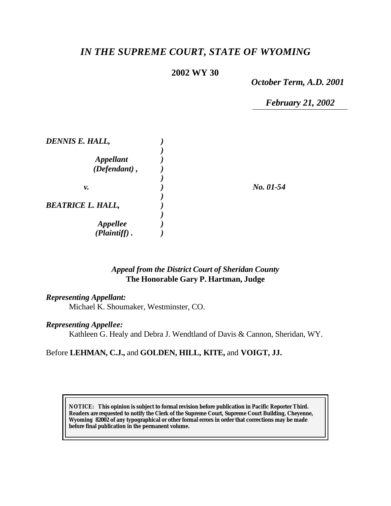# *IN THE SUPREME COURT, STATE OF WYOMING*

## **2002 WY 30**

*October Term, A.D. 2001*

*February 21, 2002*

| DENNIS E. HALL,                    |           |
|------------------------------------|-----------|
| <b>Appellant</b><br>(Defendant),   |           |
| ν.                                 | No. 01-54 |
| <b>BEATRICE L. HALL,</b>           |           |
| <b>Appellee</b><br>$(Plaintiff)$ . |           |

### *Appeal from the District Court of Sheridan County* **The Honorable Gary P. Hartman, Judge**

#### *Representing Appellant:*

Michael K. Shoumaker, Westminster, CO.

#### *Representing Appellee:*

Kathleen G. Healy and Debra J. Wendtland of Davis & Cannon, Sheridan, WY.

#### Before **LEHMAN, C.J.,** and **GOLDEN, HILL, KITE,** and **VOIGT, JJ.**

**NOTICE:** *This opinion is subject to formal revision before publication in Pacific Reporter Third. Readers are requested to notify the Clerk of the Supreme Court, Supreme Court Building, Cheyenne, Wyoming 82002 of any typographical or other formal errors in order that corrections may be made before final publication in the permanent volume.*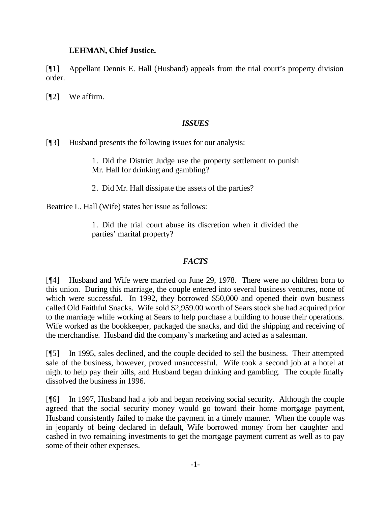# **LEHMAN, Chief Justice.**

[¶1] Appellant Dennis E. Hall (Husband) appeals from the trial court's property division order.

[¶2] We affirm.

# *ISSUES*

[¶3] Husband presents the following issues for our analysis:

1. Did the District Judge use the property settlement to punish Mr. Hall for drinking and gambling?

2. Did Mr. Hall dissipate the assets of the parties?

Beatrice L. Hall (Wife) states her issue as follows:

1. Did the trial court abuse its discretion when it divided the parties' marital property?

# *FACTS*

[¶4] Husband and Wife were married on June 29, 1978. There were no children born to this union. During this marriage, the couple entered into several business ventures, none of which were successful. In 1992, they borrowed \$50,000 and opened their own business called Old Faithful Snacks. Wife sold \$2,959.00 worth of Sears stock she had acquired prior to the marriage while working at Sears to help purchase a building to house their operations. Wife worked as the bookkeeper, packaged the snacks, and did the shipping and receiving of the merchandise. Husband did the company's marketing and acted as a salesman.

[¶5] In 1995, sales declined, and the couple decided to sell the business. Their attempted sale of the business, however, proved unsuccessful. Wife took a second job at a hotel at night to help pay their bills, and Husband began drinking and gambling. The couple finally dissolved the business in 1996.

[¶6] In 1997, Husband had a job and began receiving social security. Although the couple agreed that the social security money would go toward their home mortgage payment, Husband consistently failed to make the payment in a timely manner. When the couple was in jeopardy of being declared in default, Wife borrowed money from her daughter and cashed in two remaining investments to get the mortgage payment current as well as to pay some of their other expenses.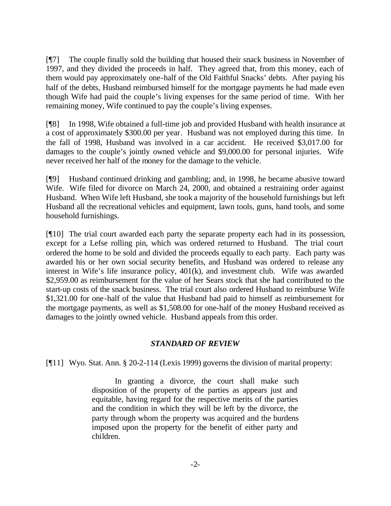[¶7] The couple finally sold the building that housed their snack business in November of 1997, and they divided the proceeds in half. They agreed that, from this money, each of them would pay approximately one-half of the Old Faithful Snacks' debts. After paying his half of the debts, Husband reimbursed himself for the mortgage payments he had made even though Wife had paid the couple's living expenses for the same period of time. With her remaining money, Wife continued to pay the couple's living expenses.

[¶8] In 1998, Wife obtained a full-time job and provided Husband with health insurance at a cost of approximately \$300.00 per year. Husband was not employed during this time. In the fall of 1998, Husband was involved in a car accident. He received \$3,017.00 for damages to the couple's jointly owned vehicle and \$9,000.00 for personal injuries. Wife never received her half of the money for the damage to the vehicle.

[¶9] Husband continued drinking and gambling; and, in 1998, he became abusive toward Wife. Wife filed for divorce on March 24, 2000, and obtained a restraining order against Husband. When Wife left Husband, she took a majority of the household furnishings but left Husband all the recreational vehicles and equipment, lawn tools, guns, hand tools, and some household furnishings.

[¶10] The trial court awarded each party the separate property each had in its possession, except for a Lefse rolling pin, which was ordered returned to Husband. The trial court ordered the home to be sold and divided the proceeds equally to each party. Each party was awarded his or her own social security benefits, and Husband was ordered to release any interest in Wife's life insurance policy, 401(k), and investment club. Wife was awarded \$2,959.00 as reimbursement for the value of her Sears stock that she had contributed to the start-up costs of the snack business. The trial court also ordered Husband to reimburse Wife \$1,321.00 for one-half of the value that Husband had paid to himself as reimbursement for the mortgage payments, as well as \$1,508.00 for one-half of the money Husband received as damages to the jointly owned vehicle. Husband appeals from this order.

### *STANDARD OF REVIEW*

[¶11] Wyo. Stat. Ann. § 20-2-114 (Lexis 1999) governs the division of marital property:

In granting a divorce, the court shall make such disposition of the property of the parties as appears just and equitable, having regard for the respective merits of the parties and the condition in which they will be left by the divorce, the party through whom the property was acquired and the burdens imposed upon the property for the benefit of either party and children.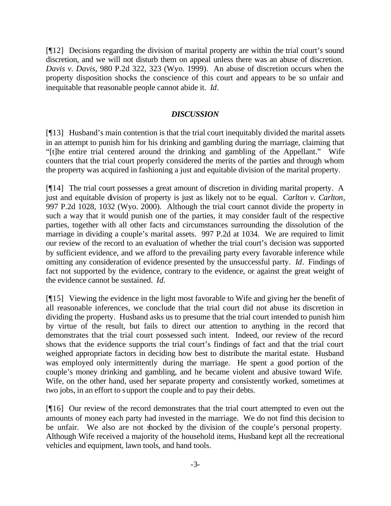[¶12] Decisions regarding the division of marital property are within the trial court's sound discretion, and we will not disturb them on appeal unless there was an abuse of discretion. *Davis v. Davis*, 980 P.2d 322, 323 (Wyo. 1999). An abuse of discretion occurs when the property disposition shocks the conscience of this court and appears to be so unfair and inequitable that reasonable people cannot abide it. *Id*.

### *DISCUSSION*

[¶13] Husband's main contention is that the trial court inequitably divided the marital assets in an attempt to punish him for his drinking and gambling during the marriage, claiming that "[t]he entire trial centered around the drinking and gambling of the Appellant." Wife counters that the trial court properly considered the merits of the parties and through whom the property was acquired in fashioning a just and equitable division of the marital property.

[¶14] The trial court possesses a great amount of discretion in dividing marital property. A just and equitable division of property is just as likely not to be equal. *Carlton v. Carlton*, 997 P.2d 1028, 1032 (Wyo. 2000). Although the trial court cannot divide the property in such a way that it would punish one of the parties, it may consider fault of the respective parties, together with all other facts and circumstances surrounding the dissolution of the marriage in dividing a couple's marital assets. 997 P.2d at 1034. We are required to limit our review of the record to an evaluation of whether the trial court's decision was supported by sufficient evidence, and we afford to the prevailing party every favorable inference while omitting any consideration of evidence presented by the unsuccessful party. *Id*. Findings of fact not supported by the evidence, contrary to the evidence, or against the great weight of the evidence cannot be sustained. *Id.*

[¶15] Viewing the evidence in the light most favorable to Wife and giving her the benefit of all reasonable inferences, we conclude that the trial court did not abuse its discretion in dividing the property. Husband asks us to presume that the trial court intended to punish him by virtue of the result, but fails to direct our attention to anything in the record that demonstrates that the trial court possessed such intent. Indeed, our review of the record shows that the evidence supports the trial court's findings of fact and that the trial court weighed appropriate factors in deciding how best to distribute the marital estate. Husband was employed only intermittently during the marriage. He spent a good portion of the couple's money drinking and gambling, and he became violent and abusive toward Wife. Wife, on the other hand, used her separate property and consistently worked, sometimes at two jobs, in an effort to support the couple and to pay their debts.

[¶16] Our review of the record demonstrates that the trial court attempted to even out the amounts of money each party had invested in the marriage. We do not find this decision to be unfair. We also are not shocked by the division of the couple's personal property. Although Wife received a majority of the household items, Husband kept all the recreational vehicles and equipment, lawn tools, and hand tools.